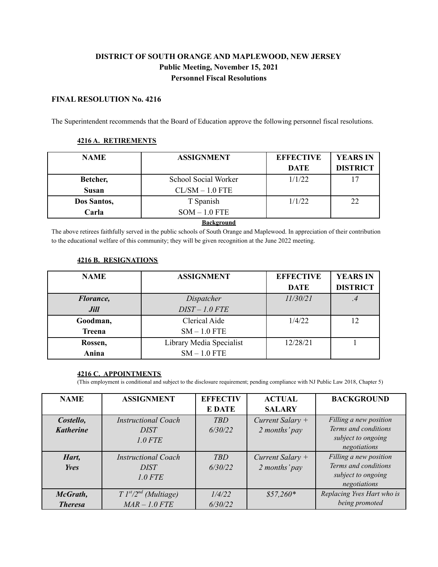# **DISTRICT OF SOUTH ORANGE AND MAPLEWOOD, NEW JERSEY Public Meeting, November 15, 2021 Personnel Fiscal Resolutions**

# **FINAL RESOLUTION No. 4216**

The Superintendent recommends that the Board of Education approve the following personnel fiscal resolutions.

#### **4216 A. RETIREMENTS**

| <b>NAME</b>  | <b>ASSIGNMENT</b>              | <b>EFFECTIVE</b> | <b>YEARS IN</b> |
|--------------|--------------------------------|------------------|-----------------|
|              |                                | <b>DATE</b>      | <b>DISTRICT</b> |
| Betcher,     | School Social Worker<br>1/1/22 |                  |                 |
| <b>Susan</b> | $CL/SM - 1.0$ FTE              |                  |                 |
| Dos Santos,  | T Spanish                      | 1/1/22           | 22              |
| Carla        | $SOM - 1.0$ FTE                |                  |                 |

**Background**

The above retirees faithfully served in the public schools of South Orange and Maplewood. In appreciation of their contribution to the educational welfare of this community; they will be given recognition at the June 2022 meeting.

#### **4216 B. RESIGNATIONS**

| <b>NAME</b>   | <b>ASSIGNMENT</b>        | <b>EFFECTIVE</b> | <b>YEARS IN</b> |
|---------------|--------------------------|------------------|-----------------|
|               |                          | <b>DATE</b>      | <b>DISTRICT</b> |
| Florance,     | Dispatcher               | 11/30/21         | $.4^{\circ}$    |
| <b>Jill</b>   | $DIST-1.0$ $FTE$         |                  |                 |
| Goodman,      | Clerical Aide            | 1/4/22           | $12 \,$         |
| <b>Treena</b> | $SM - 1.0$ FTE           |                  |                 |
| Rossen,       | Library Media Specialist | 12/28/21         |                 |
| Anina         | $SM - 1.0$ FTE           |                  |                 |

### **4216 C. APPOINTMENTS**

(This employment is conditional and subject to the disclosure requirement; pending compliance with NJ Public Law 2018, Chapter 5)

| <b>NAME</b>      | <b>ASSIGNMENT</b>             | <b>EFFECTIV</b> | <b>ACTUAL</b>      | <b>BACKGROUND</b>          |
|------------------|-------------------------------|-----------------|--------------------|----------------------------|
|                  |                               | <b>E DATE</b>   | <b>SALARY</b>      |                            |
| Costello,        | <b>Instructional Coach</b>    | <b>TBD</b>      | Current Salary +   | Filling a new position     |
| <b>Katherine</b> | <b>DIST</b>                   | 6/30/22         | 2 months' pay      | Terms and conditions       |
|                  | $1.0$ FTE                     |                 |                    | subject to ongoing         |
|                  |                               |                 |                    | negotiations               |
| Hart,            | <b>Instructional Coach</b>    | <b>TBD</b>      | $Current$ Salary + | Filling a new position     |
| <b>Yves</b>      | <b>DIST</b>                   | 6/30/22         | 2 months' pay      | Terms and conditions       |
|                  | $1.0$ FTE                     |                 |                    | subject to ongoing         |
|                  |                               |                 |                    | negotiations               |
| McGrath,         | $T\,I^{st}/2^{nd}$ (Multiage) | 1/4/22          | $$57,260*$         | Replacing Yves Hart who is |
| <b>Theresa</b>   | $MAR - 1.0$ FTE               | 6/30/22         |                    | being promoted             |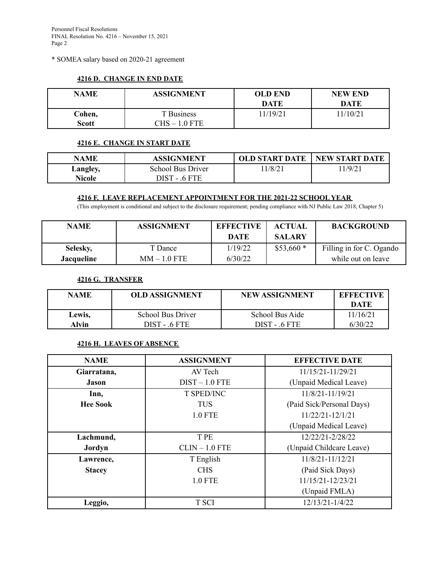#### \* SOMEA salary based on 2020-21 agreement

#### **4216 D. CHANGE IN END DATE**

| NAME   | <b>ASSIGNMENT</b> | <b>OLD END</b><br><b>DATE</b> | <b>NEW END</b><br>DATE |
|--------|-------------------|-------------------------------|------------------------|
| Cohen, | T Business        | 11/19/21                      | 11/10/21               |
| Scott  | CHS – 1.0 FTE     |                               |                        |

#### **4216 E. CHANGE IN START DATE**

| <b>NAME</b> | <b>ASSIGNMENT</b> | <b>OLD START DATE</b> | <b>NEW START DATE</b> |
|-------------|-------------------|-----------------------|-----------------------|
| Langley,    | School Bus Driver | 1/8/21                | 1/9/21                |
| Nicole      | DIST - 6 FTE      |                       |                       |

#### **4216 F. LEAVE REPLACEMENT APPOINTMENT FOR THE 2021-22 SCHOOL YEAR**

(This employment is conditional and subject to the disclosure requirement; pending compliance with NJ Public Law 2018, Chapter 5)

| <b>NAME</b>       | <b>ASSIGNMENT</b> | <b>EFFECTIVE</b> | <b>ACTUAL</b> | <b>BACKGROUND</b>        |
|-------------------|-------------------|------------------|---------------|--------------------------|
|                   |                   | DATE             | <b>SALARY</b> |                          |
| Selesky,          | T Dance           | 1/19/22          | $$53,660*$    | Filling in for C. Ogando |
| <b>Jacqueline</b> | $MM - 1.0$ FTE    | 6/30/22          |               | while out on leave       |

# **4216 G. TRANSFER**

| <b>NAME</b> | <b>OLD ASSIGNMENT</b> | <b>NEW ASSIGNMENT</b> | <b>EFFECTIVE</b> |
|-------------|-----------------------|-----------------------|------------------|
|             |                       |                       | DATE             |
| Lewis,      | School Bus Driver     | School Bus Aide       | 11/16/21         |
| Alvin       | DIST - 6 FTE          | DIST - 6 FTE          | 6/30/22          |

### **4216 H. LEAVES OF ABSENCE**

| <b>NAME</b>     | <b>ASSIGNMENT</b> | <b>EFFECTIVE DATE</b>     |
|-----------------|-------------------|---------------------------|
| Giarratana,     | AV Tech           | $11/15/21 - 11/29/21$     |
| <b>Jason</b>    | $DIST - 1.0$ FTE  | (Unpaid Medical Leave)    |
| Inn,            | <b>T SPED/INC</b> | 11/8/21-11/19/21          |
| <b>Hee Sook</b> | <b>TUS</b>        | (Paid Sick/Personal Days) |
|                 | <b>1.0 FTE</b>    | 11/22/21-12/1/21          |
|                 |                   | (Unpaid Medical Leave)    |
| Lachmund,       | T PE              | 12/22/21-2/28/22          |
| Jordyn          | $CLIN - 1.0$ FTE  | (Unpaid Childcare Leave)  |
| Lawrence,       | T English         | $11/8/21 - 11/12/21$      |
| <b>Stacey</b>   | <b>CHS</b>        | (Paid Sick Days)          |
|                 | <b>1.0 FTE</b>    | 11/15/21-12/23/21         |
|                 |                   | (Unpaid FMLA)             |
| Leggio,         | T SCI             | 12/13/21-1/4/22           |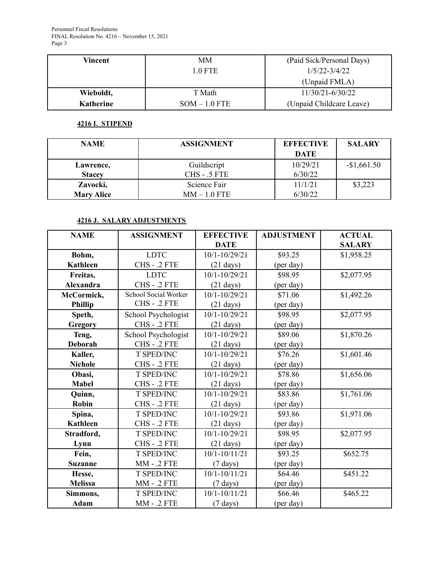Personnel Fiscal Resolutions FINAL Resolution No. 4216 – November 15, 2021 Page 3

| Vincent   | MМ              | (Paid Sick/Personal Days) |
|-----------|-----------------|---------------------------|
|           | 1.0 FTE         | $1/5/22 - 3/4/22$         |
|           |                 | (Unpaid FMLA)             |
| Wieboldt, | T Math          | $11/30/21 - 6/30/22$      |
| Katherine | $SOM - 1.0$ FTE | (Unpaid Childcare Leave)  |

# **4216 I. STIPEND**

| <b>NAME</b>              | <b>ASSIGNMENT</b> | <b>EFFECTIVE</b> | <b>SALARY</b> |
|--------------------------|-------------------|------------------|---------------|
|                          |                   | <b>DATE</b>      |               |
| Lawrence,                | Guildscript       | 10/29/21         | $-$1,661.50$  |
| <b>Stacey</b>            | CHS - .5 FTE      | 6/30/22          |               |
| Science Fair<br>Zavocki, |                   | 11/1/21          | \$3,223       |
| <b>Mary Alice</b>        | $MM - 1.0$ FTE    | 6/30/22          |               |

# **4216 J. SALARY ADJUSTMENTS**

| <b>NAME</b>      | <b>ASSIGNMENT</b>    | <b>EFFECTIVE</b>    | <b>ADJUSTMENT</b> | <b>ACTUAL</b> |
|------------------|----------------------|---------------------|-------------------|---------------|
|                  |                      | <b>DATE</b>         |                   | <b>SALARY</b> |
| Bohm,            | <b>LDTC</b>          | $10/1 - 10/29/21$   | \$93.25           | \$1,958.25    |
| <b>Kathleen</b>  | CHS - .2 FTE         | $(21 \text{ days})$ | (per day)         |               |
| Freitas,         | <b>LDTC</b>          | $10/1 - 10/29/21$   | \$98.95           | \$2,077.95    |
| <b>Alexandra</b> | CHS - .2 FTE         | $(21 \text{ days})$ | (per day)         |               |
| McCormick,       | School Social Worker | $10/1 - 10/29/21$   | \$71.06           | \$1,492.26    |
| <b>Phillip</b>   | CHS - .2 FTE         | $(21 \text{ days})$ | (per day)         |               |
| Speth,           | School Psychologist  | $10/1 - 10/29/21$   | \$98.95           | \$2,077.95    |
| Gregory          | CHS - .2 FTE         | $(21 \text{ days})$ | (per day)         |               |
| Teng,            | School Psychologist  | $10/1 - 10/29/21$   | \$89.06           | \$1,870.26    |
| Deborah          | CHS - .2 FTE         | $(21 \text{ days})$ | (per day)         |               |
| Kaller,          | <b>T SPED/INC</b>    | $10/1 - 10/29/21$   | \$76.26           | \$1,601.46    |
| <b>Nichole</b>   | CHS - .2 FTE         | $(21 \text{ days})$ | (per day)         |               |
| Obasi,           | T SPED/INC           | 10/1-10/29/21       | \$78.86           | \$1,656.06    |
| <b>Mabel</b>     | CHS - .2 FTE         | $(21 \text{ days})$ | (per day)         |               |
| Quinn,           | T SPED/INC           | $10/1 - 10/29/21$   | \$83.86           | \$1,761.06    |
| <b>Robin</b>     | CHS - .2 FTE         | $(21 \text{ days})$ | (per day)         |               |
| Spina,           | T SPED/INC           | $10/1 - 10/29/21$   | \$93.86           | \$1,971.06    |
| <b>Kathleen</b>  | CHS - .2 FTE         | $(21 \text{ days})$ | (per day)         |               |
| Stradford,       | T SPED/INC           | $10/1 - 10/29/21$   | \$98.95           | \$2,077.95    |
| Lynn             | CHS - .2 FTE         | $(21 \text{ days})$ | (per day)         |               |
| Fein,            | T SPED/INC           | $10/1 - 10/11/21$   | \$93.25           | \$652.75      |
| <b>Suzanne</b>   | <b>MM - .2 FTE</b>   | $(7 \text{ days})$  | (per day)         |               |
| Hesse,           | T SPED/INC           | $10/1 - 10/11/21$   | \$64.46           | \$451.22      |
| <b>Melissa</b>   | <b>MM - .2 FTE</b>   | $(7 \text{ days})$  | (per day)         |               |
| Simmons,         | T SPED/INC           | $10/1 - 10/11/21$   | \$66.46           | \$465.22      |
| <b>Adam</b>      | <b>MM - .2 FTE</b>   | $(7 \text{ days})$  | (per day)         |               |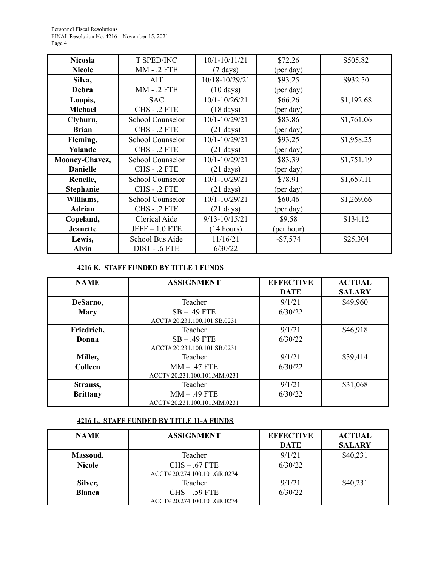Personnel Fiscal Resolutions FINAL Resolution No. 4216 – November 15, 2021 Page 4

| <b>Nicosia</b>   | <b>T SPED/INC</b>       | $10/1 - 10/11/21$   | \$72.26    | \$505.82   |
|------------------|-------------------------|---------------------|------------|------------|
| <b>Nicole</b>    | <b>MM - .2 FTE</b>      | $(7 \text{ days})$  | (per day)  |            |
| Silva,           | AIT                     | 10/18-10/29/21      | \$93.25    | \$932.50   |
| <b>Debra</b>     | <b>MM - .2 FTE</b>      | $(10 \text{ days})$ | (per day)  |            |
| Loupis,          | <b>SAC</b>              | $10/1 - 10/26/21$   | \$66.26    | \$1,192.68 |
| Michael          | CHS - .2 FTE            | $(18 \text{ days})$ | (per day)  |            |
| Clyburn,         | School Counselor        | 10/1-10/29/21       | \$83.86    | \$1,761.06 |
| <b>Brian</b>     | CHS - .2 FTE            | $(21 \text{ days})$ | (per day)  |            |
| Fleming,         | School Counselor        | $10/1 - 10/29/21$   | \$93.25    | \$1,958.25 |
| Yolande          | CHS - .2 FTE            | $(21 \text{ days})$ | (per day)  |            |
| Mooney-Chavez,   | <b>School Counselor</b> | $10/1 - 10/29/21$   | \$83.39    | \$1,751.19 |
| <b>Danielle</b>  | CHS - .2 FTE            | $(21 \text{ days})$ | (per day)  |            |
| Renelle,         | <b>School Counselor</b> | $10/1 - 10/29/21$   | \$78.91    | \$1,657.11 |
| <b>Stephanie</b> | CHS - .2 FTE            | $(21 \text{ days})$ | (per day)  |            |
| Williams,        | School Counselor        | $10/1 - 10/29/21$   | \$60.46    | \$1,269.66 |
| <b>Adrian</b>    | CHS - .2 FTE            | $(21 \text{ days})$ | (per day)  |            |
| Copeland,        | Clerical Aide           | $9/13 - 10/15/21$   | \$9.58     | \$134.12   |
| <b>Jeanette</b>  | $JEFF-1.0$ FTE          | (14 hours)          | (per hour) |            |
| Lewis,           | School Bus Aide         | 11/16/21            | $-$7,574$  | \$25,304   |
| <b>Alvin</b>     | DIST - .6 FTE           | 6/30/22             |            |            |

# **4216 K. STAFF FUNDED BY TITLE 1 FUNDS**

| <b>NAME</b>     | <b>ASSIGNMENT</b>            | <b>EFFECTIVE</b> | <b>ACTUAL</b> |
|-----------------|------------------------------|------------------|---------------|
|                 |                              | <b>DATE</b>      | <b>SALARY</b> |
| DeSarno,        | Teacher                      | 9/1/21           | \$49,960      |
| <b>Mary</b>     | $SB - .49$ FTE               | 6/30/22          |               |
|                 | ACCT# 20.231.100.101.SB.0231 |                  |               |
| Friedrich,      | Teacher                      | 9/1/21           | \$46,918      |
| Donna           | $SB - .49$ FTE               | 6/30/22          |               |
|                 | ACCT# 20.231.100.101.SB.0231 |                  |               |
| Miller,         | Teacher                      | 9/1/21           | \$39,414      |
| <b>Colleen</b>  | $MM - .47$ FTE               | 6/30/22          |               |
|                 | ACCT# 20.231.100.101.MM.0231 |                  |               |
| Strauss,        | Teacher                      | 9/1/21           | \$31,068      |
| <b>Brittany</b> | $MM - .49$ FTE               | 6/30/22          |               |
|                 | ACCT# 20.231.100.101.MM.0231 |                  |               |

# **4216 L. STAFF FUNDED BY TITLE 11-A FUNDS**

| <b>NAME</b>   | <b>ASSIGNMENT</b>            | <b>EFFECTIVE</b> | <b>ACTUAL</b> |
|---------------|------------------------------|------------------|---------------|
|               |                              | <b>DATE</b>      | <b>SALARY</b> |
| Massoud,      | Teacher                      | 9/1/21           | \$40,231      |
| <b>Nicole</b> | $CHS - .67$ FTE              | 6/30/22          |               |
|               | ACCT# 20.274.100.101.GR.0274 |                  |               |
| Silver,       | Teacher                      | 9/1/21           | \$40,231      |
| <b>Bianca</b> | $CHS - 0.59$ FTE             | 6/30/22          |               |
|               | ACCT# 20.274.100.101.GR.0274 |                  |               |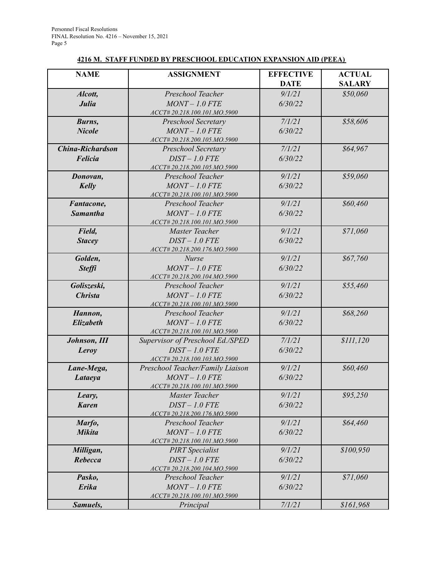# **4216 M. STAFF FUNDED BY PRESCHOOL EDUCATION EXPANSION AID (PEEA)**

| <b>NAME</b>             | <b>ASSIGNMENT</b>                                | <b>EFFECTIVE</b> | <b>ACTUAL</b> |
|-------------------------|--------------------------------------------------|------------------|---------------|
|                         |                                                  | <b>DATE</b>      | <b>SALARY</b> |
| Alcott,                 | Preschool Teacher                                | 9/1/21           | \$50,060      |
| Julia                   | $MONT-1.0$ FTE                                   | 6/30/22          |               |
|                         | ACCT#20.218.100.101.MO.5900                      |                  |               |
| Burns,                  | Preschool Secretary                              | 7/1/21           | \$58,606      |
| <b>Nicole</b>           | $MONT-1.0$ FTE                                   | 6/30/22          |               |
|                         | ACCT#20.218.200.105.MO.5900                      |                  |               |
| <b>China-Richardson</b> | Preschool Secretary                              | 7/1/21           | \$64,967      |
| <b>Felicia</b>          | $DIST-1.0$ $FTE$                                 | 6/30/22          |               |
|                         | ACCT#20.218.200.105.MO.5900                      |                  |               |
| Donovan,                | Preschool Teacher                                | 9/1/21           | \$59,060      |
| Kelly                   | $MONT-1.0$ FTE                                   | 6/30/22          |               |
|                         | ACCT#20.218.100.101.MO.5900                      |                  |               |
| Fantacone,              | Preschool Teacher                                | 9/1/21           | \$60,460      |
| <b>Samantha</b>         | $MONT-1.0$ FTE                                   | 6/30/22          |               |
|                         | ACCT#20.218.100.101.MO.5900                      |                  |               |
| Field,                  | Master Teacher                                   | 9/1/21           | \$71,060      |
| <b>Stacey</b>           | $DIST-1.0$ $FTE$                                 | 6/30/22          |               |
|                         | ACCT#20.218.200.176.MO.5900                      | 9/1/21           |               |
| Golden,                 | <b>Nurse</b>                                     |                  | \$67,760      |
| <b>Steffi</b>           | $MONT-1.0$ FTE                                   | 6/30/22          |               |
|                         | ACCT#20.218.200.104.MO.5900                      | 9/1/21           |               |
| Goliszeski,             | Preschool Teacher                                |                  | \$55,460      |
| <b>Christa</b>          | $MONT-1.0$ $FTE$                                 | 6/30/22          |               |
| Hannon,                 | ACCT#20.218.100.101.MO.5900<br>Preschool Teacher | 9/1/21           | \$68,260      |
| Elizabeth               | $MONT-1.0$ FTE                                   | 6/30/22          |               |
|                         | ACCT#20.218.100.101.MO.5900                      |                  |               |
| Johnson, III            | Supervisor of Preschool Ed./SPED                 | 7/1/21           | \$III, I20    |
| Leroy                   | $DIST-1.0$ $FTE$                                 | 6/30/22          |               |
|                         | ACCT#20.218.100.103.MO.5900                      |                  |               |
| Lane-Mega,              | Preschool Teacher/Family Liaison                 | 9/1/21           | \$60,460      |
| Lataeya                 | $MONT - 1.0$ $FTE$                               | 6/30/22          |               |
|                         | ACCT# 20.218.100.101.MO.5900                     |                  |               |
| Leary,                  | Master Teacher                                   | 9/1/21           | \$95,250      |
| <b>Karen</b>            | $DIST-1.0$ $FTE$                                 | 6/30/22          |               |
|                         | ACCT#20.218.200.176.MO.5900                      |                  |               |
| Marfo,                  | Preschool Teacher                                | 9/1/21           | \$64,460      |
| <b>Mikita</b>           | $MONT-1.0$ FTE                                   | 6/30/22          |               |
|                         | ACCT#20.218.100.101.MO.5900                      |                  |               |
| Milligan,               | <b>PIRT</b> Specialist                           | 9/1/21           | \$100,950     |
| Rebecca                 | $DIST-1.0$ $FTE$                                 | 6/30/22          |               |
|                         | ACCT#20.218.200.104.MO.5900                      |                  |               |
| Pasko,                  | Preschool Teacher                                | 9/1/21           | \$71,060      |
| Erika                   | $MONT-1.0$ $FTE$                                 | 6/30/22          |               |
|                         | ACCT#20.218.100.101.MO.5900                      |                  |               |
| Samuels,                | Principal                                        | 7/1/21           | \$161,968     |